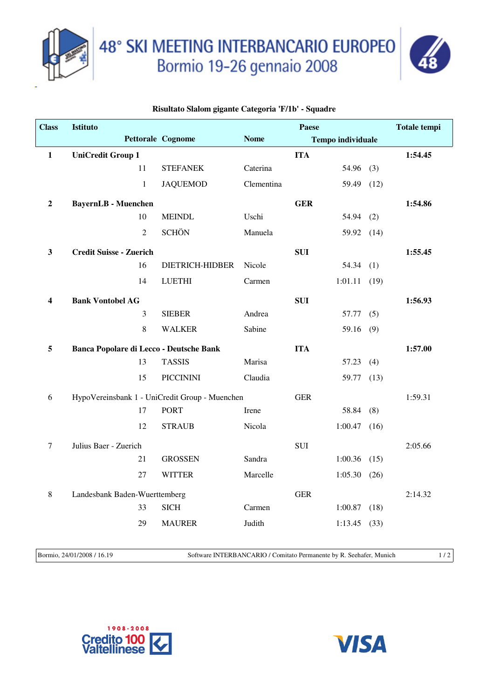



## **Risultato Slalom gigante Categoria 'F/1b' - Squadre**

| <b>Class</b>     | <b>Istituto</b>                                |                |                                                | Paese       |            |                          | Totale tempi |         |
|------------------|------------------------------------------------|----------------|------------------------------------------------|-------------|------------|--------------------------|--------------|---------|
|                  |                                                |                | Pettorale Cognome                              | <b>Nome</b> |            | <b>Tempo individuale</b> |              |         |
| $\mathbf{1}$     | <b>UniCredit Group 1</b>                       |                |                                                |             | <b>ITA</b> |                          |              | 1:54.45 |
|                  |                                                | 11             | <b>STEFANEK</b>                                | Caterina    |            | 54.96                    | (3)          |         |
|                  |                                                | $\mathbf{1}$   | <b>JAQUEMOD</b>                                | Clementina  |            | 59.49                    | (12)         |         |
| $\boldsymbol{2}$ | <b>BayernLB</b> - Muenchen                     |                |                                                |             | <b>GER</b> |                          |              | 1:54.86 |
|                  |                                                | 10             | <b>MEINDL</b>                                  | Uschi       |            | $54.94$ (2)              |              |         |
|                  |                                                | $\overline{2}$ | <b>SCHÖN</b>                                   | Manuela     |            | 59.92 (14)               |              |         |
| $\mathbf{3}$     | <b>Credit Suisse - Zuerich</b>                 |                |                                                |             | <b>SUI</b> |                          |              | 1:55.45 |
|                  |                                                | 16             | DIETRICH-HIDBER                                | Nicole      |            | 54.34(1)                 |              |         |
|                  |                                                | 14             | <b>LUETHI</b>                                  | Carmen      |            | 1:01.11                  | (19)         |         |
| 4                | <b>Bank Vontobel AG</b>                        |                |                                                |             | <b>SUI</b> |                          |              | 1:56.93 |
|                  |                                                | $\mathfrak{Z}$ | <b>SIEBER</b>                                  | Andrea      |            | 57.77                    | (5)          |         |
|                  |                                                | 8              | <b>WALKER</b>                                  | Sabine      |            | 59.16(9)                 |              |         |
| 5                | <b>Banca Popolare di Lecco - Deutsche Bank</b> |                |                                                |             | <b>ITA</b> |                          |              | 1:57.00 |
|                  |                                                | 13             | <b>TASSIS</b>                                  | Marisa      |            | 57.23                    | (4)          |         |
|                  |                                                | 15             | <b>PICCININI</b>                               | Claudia     |            | 59.77 (13)               |              |         |
| 6                |                                                |                | HypoVereinsbank 1 - UniCredit Group - Muenchen |             | <b>GER</b> |                          |              | 1:59.31 |
|                  |                                                | 17             | <b>PORT</b>                                    | Irene       |            | 58.84                    | (8)          |         |
|                  |                                                | 12             | <b>STRAUB</b>                                  | Nicola      |            | 1:00.47                  | (16)         |         |
| $\tau$           | Julius Baer - Zuerich                          |                |                                                |             | <b>SUI</b> |                          |              | 2:05.66 |
|                  |                                                | 21             | <b>GROSSEN</b>                                 | Sandra      |            | 1:00.36                  | (15)         |         |
|                  |                                                | 27             | <b>WITTER</b>                                  | Marcelle    |            | 1:05.30                  | (26)         |         |
| $\,8\,$          | Landesbank Baden-Wuerttemberg                  |                |                                                |             | <b>GER</b> |                          |              | 2:14.32 |
|                  |                                                | 33             | <b>SICH</b>                                    | Carmen      |            | 1:00.87                  | (18)         |         |
|                  |                                                | 29             | <b>MAURER</b>                                  | Judith      |            | 1:13.45                  | (33)         |         |
|                  |                                                |                |                                                |             |            |                          |              |         |

Bormio, 24/01/2008 / 16.19 Software INTERBANCARIO / Comitato Permanente by R. Seehafer, Munich 1 / 2